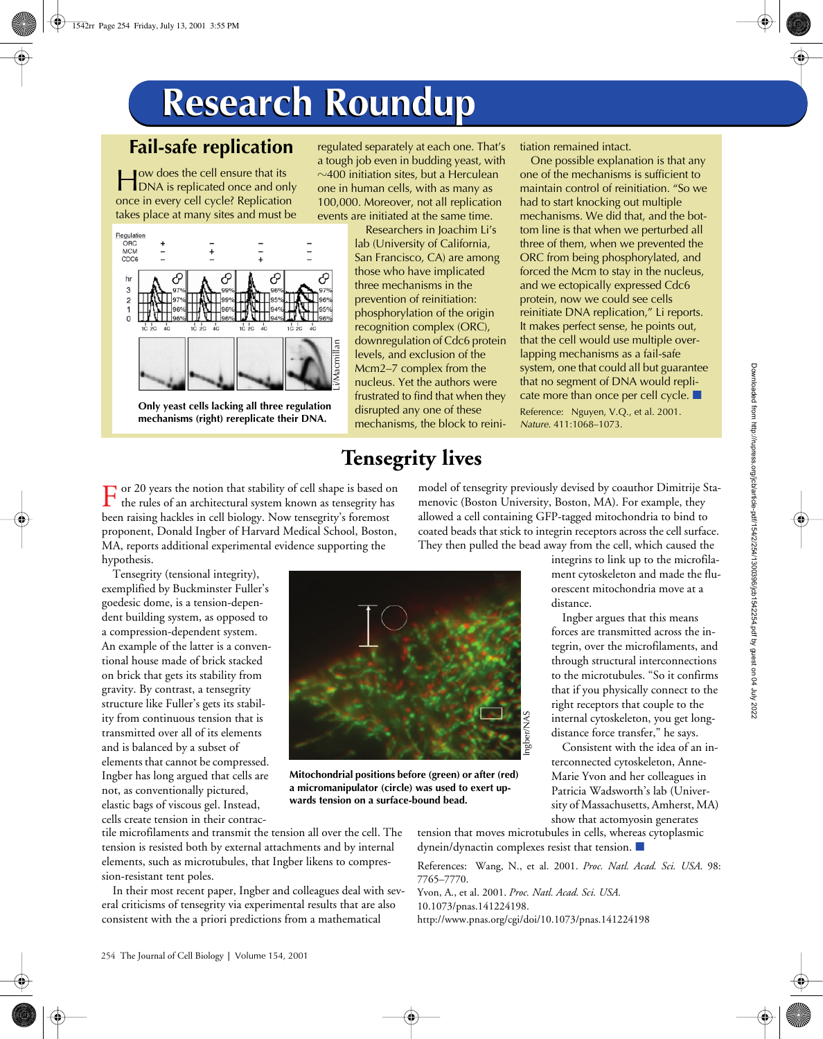# **Research Roundup Research Roundup**

### **Fail-safe replication**

ow does the cell ensure that its **DEPENDIA IS ALLEADER IS CONTROLLED FOR A SET ALLEADER IS A SET ALL**<br> **EXECUTE:** The set of the set of the set of the set of the set of the set of the set of the set of the set of the set of the set of the set of the set o once in every cell cycle? Replication takes place at many sites and must be



**Only yeast cells lacking all three regulation mechanisms (right) rereplicate their DNA.**

regulated separately at each one. That's a tough job even in budding yeast, with  $\sim$ 400 initiation sites, but a Herculean one in human cells, with as many as 100,000. Moreover, not all replication events are initiated at the same time.

> Researchers in Joachim Li's lab (University of California, San Francisco, CA) are among those who have implicated three mechanisms in the prevention of reinitiation: phosphorylation of the origin recognition complex (ORC), downregulation of Cdc6 protein levels, and exclusion of the Mcm2–7 complex from the nucleus. Yet the authors were frustrated to find that when they disrupted any one of these mechanisms, the block to reini-

## **Tensegrity lives**

tiation remained intact.

One possible explanation is that any one of the mechanisms is sufficient to maintain control of reinitiation. "So we had to start knocking out multiple mechanisms. We did that, and the bottom line is that when we perturbed all three of them, when we prevented the ORC from being phosphorylated, and forced the Mcm to stay in the nucleus, and we ectopically expressed Cdc6 protein, now we could see cells reinitiate DNA replication," Li reports. It makes perfect sense, he points out, that the cell would use multiple overlapping mechanisms as a fail-safe system, one that could all but guarantee that no segment of DNA would replicate more than once per cell cycle.  $\blacksquare$ 

Reference: Nguyen, V.Q., et al. 2001. *Nature*. 411:1068–1073.

model of tensegrity previously devised by coauthor Dimitrije Stamenovic (Boston University, Boston, MA). For example, they allowed a cell containing GFP-tagged mitochondria to bind to

or 20 years the notion that stability of cell shape is based on  $\Gamma$  or 20 years the notion that stability of cell shape is based on the rules of an architectural system known as tensegrity has been raising hackles in cell biology. Now tensegrity's foremost proponent, Donald Ingber of Harvard Medical School, Boston, MA, reports additional experimental evidence supporting the hypothesis.

Tensegrity (tensional integrity), exemplified by Buckminster Fuller's goedesic dome, is a tension-dependent building system, as opposed to a compression-dependent system. An example of the latter is a conventional house made of brick stacked on brick that gets its stability from gravity. By contrast, a tensegrity structure like Fuller's gets its stability from continuous tension that is transmitted over all of its elements and is balanced by a subset of elements that cannot be compressed. Ingber has long argued that cells are not, as conventionally pictured, elastic bags of viscous gel. Instead, cells create tension in their contrac-



**Mitochondrial positions before (green) or after (red) a micromanipulator (circle) was used to exert upwards tension on a surface-bound bead.**

coated beads that stick to integrin receptors across the cell surface. They then pulled the bead away from the cell, which caused the integrins to link up to the microfilament cytoskeleton and made the fluorescent mitochondria move at a distance.

> Ingber argues that this means forces are transmitted across the integrin, over the microfilaments, and through structural interconnections to the microtubules. "So it confirms that if you physically connect to the right receptors that couple to the internal cytoskeleton, you get longdistance force transfer," he says.

> Consistent with the idea of an interconnected cytoskeleton, Anne-Marie Yvon and her colleagues in Patricia Wadsworth's lab (University of Massachusetts, Amherst, MA) show that actomyosin generates

tension that moves microtubules in cells, whereas cytoplasmic  $d$ ynein/ $d$ ynactin complexes resist that tension.  $\blacksquare$ tile microfilaments and transmit the tension all over the cell. The tension is resisted both by external attachments and by internal elements, such as microtubules, that Ingber likens to compres-

References: Wang, N., et al. 2001. *Proc. Natl. Acad. Sci. USA*. 98: 7765–7770.

Yvon, A., et al. 2001. *Proc. Natl. Acad. Sci. USA.*  10.1073/pnas.141224198. http://www.pnas.org/cgi/doi/10.1073/pnas.141224198

In their most recent paper, Ingber and colleagues deal with several criticisms of tensegrity via experimental results that are also consistent with the a priori predictions from a mathematical

sion-resistant tent poles.